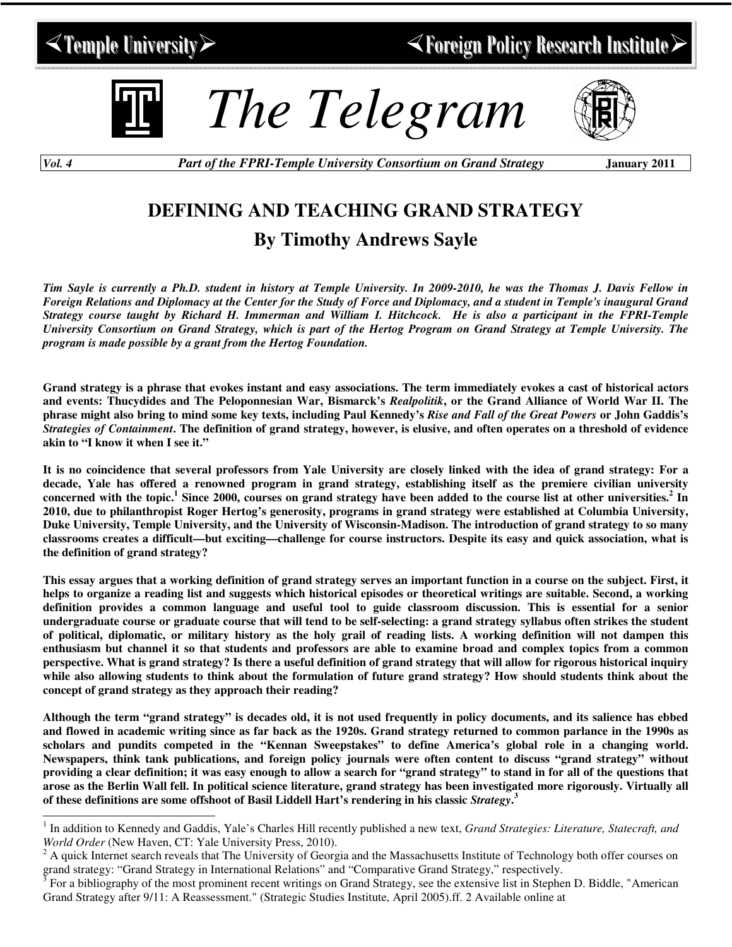## $\leq$  Temple University  $\geq$



*The Telegram*



*Vol. 4 Part of the FPRI-Temple University Consortium on Grand Strategy* **January 2011**

## **DEFINING AND TEACHING GRAND STRATEGY By Timothy Andrews Sayle**

Tim Sayle is currently a Ph.D. student in history at Temple University. In 2009-2010, he was the Thomas J. Davis Fellow in Foreign Relations and Diplomacy at the Center for the Study of Force and Diplomacy, and a student in Temple's inaugural Grand Strategy course taught by Richard H. Immerman and William I. Hitchcock. He is also a participant in the FPRI-Temple University Consortium on Grand Strategy, which is part of the Hertog Program on Grand Strategy at Temple University. The *program is made possible by a grant from the Hertog Foundation.*

Grand strategy is a phrase that evokes instant and easy associations. The term immediately evokes a cast of historical actors and events: Thucydides and The Peloponnesian War, Bismarck's Realpolitik, or the Grand Alliance of World War II. The phrase might also bring to mind some key texts, including Paul Kennedy's Rise and Fall of the Great Powers or John Gaddis's Strategies of Containment. The definition of grand strategy, however, is elusive, and often operates on a threshold of evidence **akin to "I know it when I see it."**

It is no coincidence that several professors from Yale University are closely linked with the idea of grand strategy: For a decade, Yale has offered a renowned program in grand strategy, establishing itself as the premiere civilian university concerned with the topic.<sup>1</sup> Since 2000, courses on grand strategy have been added to the course list at other universities.<sup>2</sup> In 2010, due to philanthropist Roger Hertog's generosity, programs in grand strategy were established at Columbia University, Duke University, Temple University, and the University of Wisconsin-Madison. The introduction of grand strategy to so many classrooms creates a difficult—but exciting—challenge for course instructors. Despite its easy and quick association, what is **the definition of grand strategy?**

This essay argues that a working definition of grand strategy serves an important function in a course on the subject. First, it helps to organize a reading list and suggests which historical episodes or theoretical writings are suitable. Second, a working definition provides a common language and useful tool to guide classroom discussion. This is essential for a senior undergraduate course or graduate course that will tend to be self-selecting: a grand strategy syllabus often strikes the student of political, diplomatic, or military history as the holy grail of reading lists. A working definition will not dampen this enthusiasm but channel it so that students and professors are able to examine broad and complex topics from a common perspective. What is grand strategy? Is there a useful definition of grand strategy that will allow for rigorous historical inquiry while also allowing students to think about the formulation of future grand strategy? How should students think about the **concept of grand strategy as they approach their reading?**

Although the term "grand strategy" is decades old, it is not used frequently in policy documents, and its salience has ebbed and flowed in academic writing since as far back as the 1920s. Grand strategy returned to common parlance in the 1990s as scholars and pundits competed in the "Kennan Sweepstakes" to define America's global role in a changing world. Newspapers, think tank publications, and foreign policy journals were often content to discuss "grand strategy" without providing a clear definition; it was easy enough to allow a search for "grand strategy" to stand in for all of the questions that arose as the Berlin Wall fell. In political science literature, grand strategy has been investigated more rigorously. Virtually all **of these definitions are some offshoot of Basil Liddell Hart's rendering in his classic** *Strategy***. 3**

<sup>1</sup> In addition to Kennedy and Gaddis, Yale's Charles Hill recently published a new text, *Grand Strategies: Literature, Statecraft, and World Order* (New Haven, CT: Yale University Press, 2010).

<sup>&</sup>lt;sup>2</sup> A quick Internet search reveals that The University of Georgia and the Massachusetts Institute of Technology both offer courses on grand strategy: "Grand Strategy in International Relations" and "Comparative Grand Strategy," respectively.

<sup>3</sup> For a bibliography of the most prominent recent writings on Grand Strategy, see the extensive list in Stephen D. Biddle, "American Grand Strategy after 9/11: A Reassessment." (Strategic Studies Institute, April 2005).ff. 2 Available online at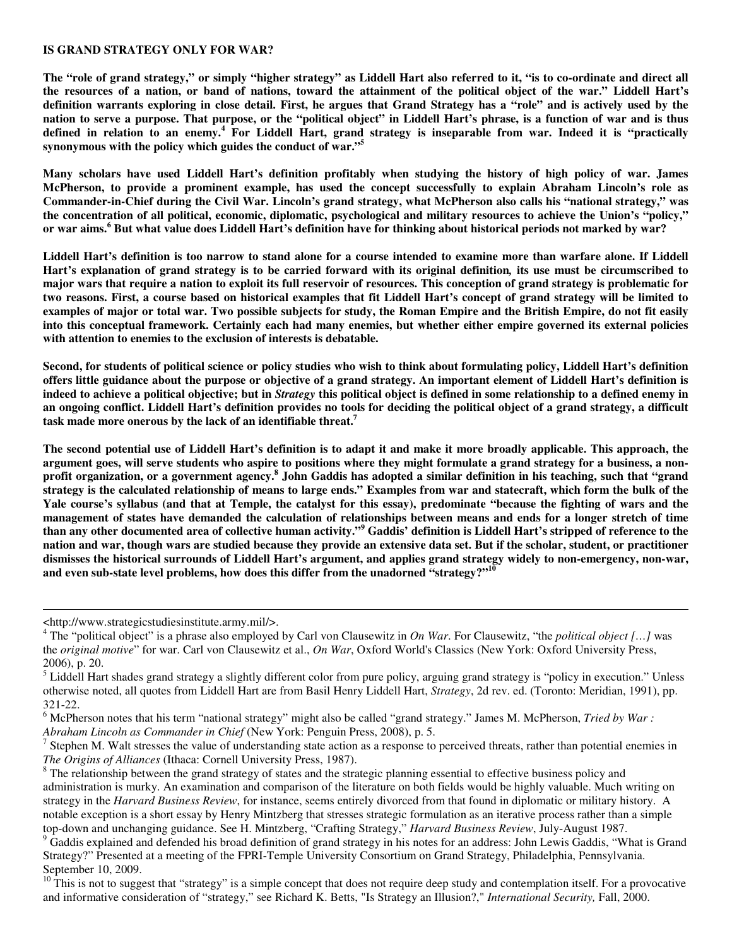## **IS GRAND STRATEGY ONLY FOR WAR?**

The "role of grand strategy," or simply "higher strategy" as Liddell Hart also referred to it, "is to co-ordinate and direct all the resources of a nation, or band of nations, toward the attainment of the political object of the war." Liddell Hart's definition warrants exploring in close detail. First, he argues that Grand Strategy has a "role" and is actively used by the nation to serve a purpose. That purpose, or the "political object" in Liddell Hart's phrase, is a function of war and is thus defined in relation to an enemy.<sup>4</sup> For Liddell Hart, grand strategy is inseparable from war. Indeed it is "practically **synonymous with the policy which guides the conduct of war." 5**

Many scholars have used Liddell Hart's definition profitably when studying the history of high policy of war. James McPherson, to provide a prominent example, has used the concept successfully to explain Abraham Lincoln's role as Commander-in-Chief during the Civil War. Lincoln's grand strategy, what McPherson also calls his "national strategy," was the concentration of all political, economic, diplomatic, psychological and military resources to achieve the Union's "policy," or war aims.<sup>6</sup> But what value does Liddell Hart's definition have for thinking about historical periods not marked by war?

Liddell Hart's definition is too narrow to stand alone for a course intended to examine more than warfare alone. If Liddell Hart's explanation of grand strategy is to be carried forward with its original definition, its use must be circumscribed to major wars that require a nation to exploit its full reservoir of resources. This conception of grand strategy is problematic for two reasons. First, a course based on historical examples that fit Liddell Hart's concept of grand strategy will be limited to examples of major or total war. Two possible subjects for study, the Roman Empire and the British Empire, do not fit easily into this conceptual framework. Certainly each had many enemies, but whether either empire governed its external policies **with attention to enemies to the exclusion of interests is debatable.**

Second, for students of political science or policy studies who wish to think about formulating policy, Liddell Hart's definition offers little guidance about the purpose or objective of a grand strategy. An important element of Liddell Hart's definition is indeed to achieve a political objective; but in *Strategy* this political object is defined in some relationship to a defined enemy in an ongoing conflict. Liddell Hart's definition provides no tools for deciding the political object of a grand strategy, a difficult **task made more onerous by the lack of an identifiable threat. 7**

The second potential use of Liddell Hart's definition is to adapt it and make it more broadly applicable. This approach, the argument goes, will serve students who aspire to positions where they might formulate a grand strategy for a business, a nonprofit organization, or a government agency.<sup>8</sup> John Gaddis has adopted a similar definition in his teaching, such that "grand strategy is the calculated relationship of means to large ends." Examples from war and statecraft, which form the bulk of the Yale course's syllabus (and that at Temple, the catalyst for this essay), predominate "because the fighting of wars and the management of states have demanded the calculation of relationships between means and ends for a longer stretch of time than any other documented area of collective human activity."<sup>9</sup> Gaddis' definition is Liddell Hart's stripped of reference to the nation and war, though wars are studied because they provide an extensive data set. But if the scholar, student, or practitioner dismisses the historical surrounds of Liddell Hart's argument, and applies grand strategy widely to non-emergency, non-war, **and even sub-state level problems, how does this differ from the unadorned "strategy?" 10**

<sup>&</sup>lt;http://www.strategicstudiesinstitute.army.mil/>.

<sup>4</sup> The "political object" is a phrase also employed by Carl von Clausewitz in *On War*. For Clausewitz, "the *political object […]* was the *original motive*" for war. Carl von Clausewitz et al., *On War*, Oxford World's Classics (New York: Oxford University Press, 2006), p. 20.

<sup>&</sup>lt;sup>5</sup> Liddell Hart shades grand strategy a slightly different color from pure policy, arguing grand strategy is "policy in execution." Unless otherwise noted, all quotes from Liddell Hart are from Basil Henry Liddell Hart, *Strategy*, 2d rev. ed. (Toronto: Meridian, 1991), pp. 321-22.

<sup>6</sup> McPherson notes that his term "national strategy" might also be called "grand strategy." James M. McPherson, *Tried by War : Abraham Lincoln as Commander in Chief* (New York: Penguin Press, 2008), p. 5.

 $<sup>7</sup>$  Stephen M. Walt stresses the value of understanding state action as a response to perceived threats, rather than potential enemies in</sup> *The Origins of Alliances* (Ithaca: Cornell University Press, 1987).

<sup>&</sup>lt;sup>8</sup> The relationship between the grand strategy of states and the strategic planning essential to effective business policy and administration is murky. An examination and comparison of the literature on both fields would be highly valuable. Much writing on strategy in the *Harvard Business Review*, for instance, seems entirely divorced from that found in diplomatic or military history. A notable exception is a short essay by Henry Mintzberg that stresses strategic formulation as an iterative process rather than a simple top-down and unchanging guidance. See H. Mintzberg, "Crafting Strategy," *Harvard Business Review*, July-August 1987.

<sup>&</sup>lt;sup>9</sup> Gaddis explained and defended his broad definition of grand strategy in his notes for an address: John Lewis Gaddis, "What is Grand Strategy?" Presented at a meeting of the FPRI-Temple University Consortium on Grand Strategy, Philadelphia, Pennsylvania. September 10, 2009.

 $10$ <sup>10</sup> This is not to suggest that "strategy" is a simple concept that does not require deep study and contemplation itself. For a provocative and informative consideration of "strategy," see Richard K. Betts, "Is Strategy an Illusion?," *International Security,* Fall, 2000.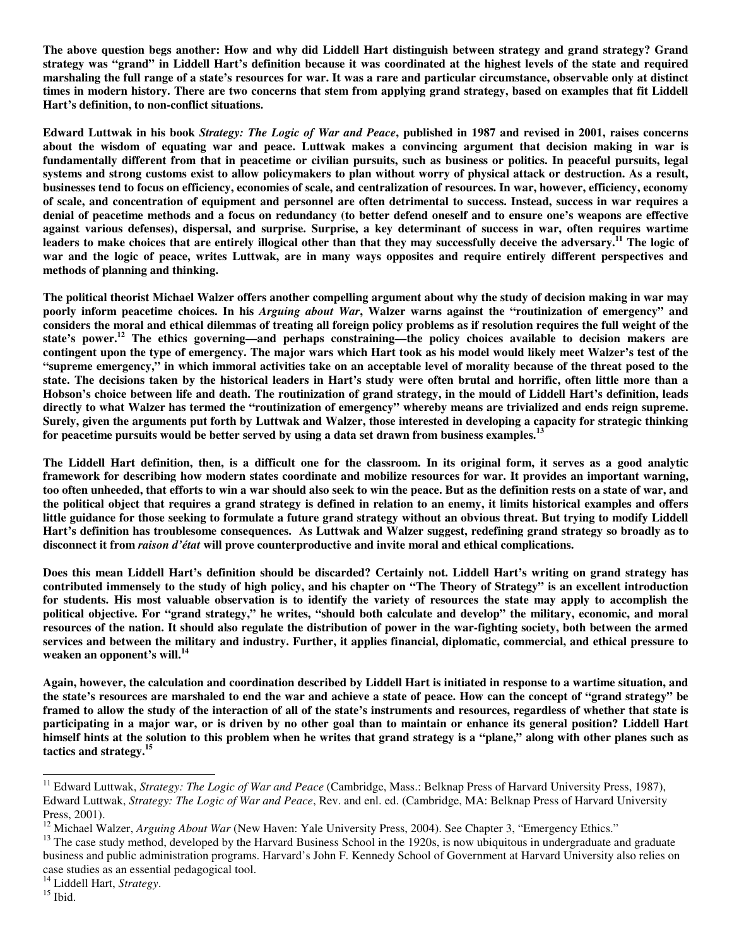The above question begs another: How and why did Liddell Hart distinguish between strategy and grand strategy? Grand strategy was "grand" in Liddell Hart's definition because it was coordinated at the highest levels of the state and required marshaling the full range of a state's resources for war. It was a rare and particular circumstance, observable only at distinct times in modern history. There are two concerns that stem from applying grand strategy, based on examples that fit Liddell **Hart's definition, to non-conflict situations.**

Edward Luttwak in his book Strategy: The Logic of War and Peace, published in 1987 and revised in 2001, raises concerns about the wisdom of equating war and peace. Luttwak makes a convincing argument that decision making in war is fundamentally different from that in peacetime or civilian pursuits, such as business or politics. In peaceful pursuits, legal systems and strong customs exist to allow policymakers to plan without worry of physical attack or destruction. As a result, businesses tend to focus on efficiency, economies of scale, and centralization of resources. In war, however, efficiency, economy of scale, and concentration of equipment and personnel are often detrimental to success. Instead, success in war requires a denial of peacetime methods and a focus on redundancy (to better defend oneself and to ensure one's weapons are effective against various defenses), dispersal, and surprise. Surprise, a key determinant of success in war, often requires wartime leaders to make choices that are entirely illogical other than that they may successfully deceive the adversary.<sup>11</sup> The logic of war and the logic of peace, writes Luttwak, are in many ways opposites and require entirely different perspectives and **methods of planning and thinking.**

The political theorist Michael Walzer offers another compelling argument about why the study of decision making in war may poorly inform peacetime choices. In his Arguing about War, Walzer warns against the "routinization of emergency" and considers the moral and ethical dilemmas of treating all foreign policy problems as if resolution requires the full weight of the **state's power. <sup>12</sup> The ethics governing—and perhaps constraining—the policy choices available to decision makers are** contingent upon the type of emergency. The major wars which Hart took as his model would likely meet Walzer's test of the "supreme emergency," in which immoral activities take on an acceptable level of morality because of the threat posed to the state. The decisions taken by the historical leaders in Hart's study were often brutal and horrific, often little more than a Hobson's choice between life and death. The routinization of grand strategy, in the mould of Liddell Hart's definition, leads directly to what Walzer has termed the "routinization of emergency" whereby means are trivialized and ends reign supreme. Surely, given the arguments put forth by Luttwak and Walzer, those interested in developing a capacity for strategic thinking **for peacetime pursuits would be better served by using a data set drawn from business examples. 13**

The Liddell Hart definition, then, is a difficult one for the classroom. In its original form, it serves as a good analytic framework for describing how modern states coordinate and mobilize resources for war. It provides an important warning, too often unheeded, that efforts to win a war should also seek to win the peace. But as the definition rests on a state of war, and the political object that requires a grand strategy is defined in relation to an enemy, it limits historical examples and offers little guidance for those seeking to formulate a future grand strategy without an obvious threat. But trying to modify Liddell Hart's definition has troublesome consequences. As Luttwak and Walzer suggest, redefining grand strategy so broadly as to **disconnect it from** *raison d'état* **will prove counterproductive and invite moral and ethical complications.**

Does this mean Liddell Hart's definition should be discarded? Certainly not. Liddell Hart's writing on grand strategy has contributed immensely to the study of high policy, and his chapter on "The Theory of Strategy" is an excellent introduction for students. His most valuable observation is to identify the variety of resources the state may apply to accomplish the political objective. For "grand strategy," he writes, "should both calculate and develop" the military, economic, and moral resources of the nation. It should also regulate the distribution of power in the war-fighting society, both between the armed services and between the military and industry. Further, it applies financial, diplomatic, commercial, and ethical pressure to **weaken an opponent's will. 14**

Again, however, the calculation and coordination described by Liddell Hart is initiated in response to a wartime situation, and the state's resources are marshaled to end the war and achieve a state of peace. How can the concept of "grand strategy" be framed to allow the study of the interaction of all of the state's instruments and resources, regardless of whether that state is participating in a major war, or is driven by no other goal than to maintain or enhance its general position? Liddell Hart himself hints at the solution to this problem when he writes that grand strategy is a "plane," along with other planes such as **tactics and strategy. 15**

<sup>11</sup> Edward Luttwak, *Strategy: The Logic of War and Peace* (Cambridge, Mass.: Belknap Press of Harvard University Press, 1987), Edward Luttwak, *Strategy: The Logic of War and Peace*, Rev. and enl. ed. (Cambridge, MA: Belknap Press of Harvard University Press, 2001).

<sup>&</sup>lt;sup>12</sup> Michael Walzer, *Arguing About War* (New Haven: Yale University Press, 2004). See Chapter 3, "Emergency Ethics."

<sup>&</sup>lt;sup>13</sup> The case study method, developed by the Harvard Business School in the 1920s, is now ubiquitous in undergraduate and graduate business and public administration programs. Harvard's John F. Kennedy School of Government at Harvard University also relies on case studies as an essential pedagogical tool.

<sup>14</sup> Liddell Hart, *Strategy*.

<sup>15</sup> Ibid.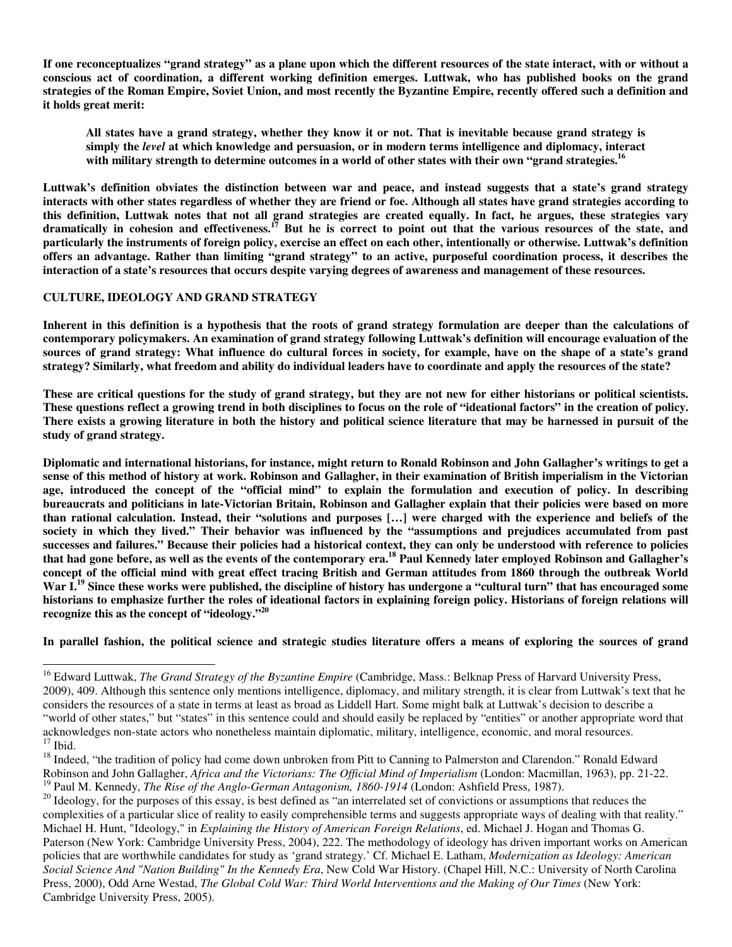If one reconceptualizes "grand strategy" as a plane upon which the different resources of the state interact, with or without a conscious act of coordination, a different working definition emerges. Luttwak, who has published books on the grand strategies of the Roman Empire, Soviet Union, and most recently the Byzantine Empire, recently offered such a definition and **it holds great merit:**

All states have a grand strategy, whether they know it or not. That is inevitable because grand strategy is **simply the** *level* **at which knowledge and persuasion, or in modern terms intelligence and diplomacy, interact** with military strength to determine outcomes in a world of other states with their own "grand strategies.<sup>16</sup>

Luttwak's definition obviates the distinction between war and peace, and instead suggests that a state's grand strategy interacts with other states regardless of whether they are friend or foe. Although all states have grand strategies according to this definition, Luttwak notes that not all grand strategies are created equally. In fact, he argues, these strategies vary dramatically in cohesion and effectiveness.<sup>17</sup> But he is correct to point out that the various resources of the state, and particularly the instruments of foreign policy, exercise an effect on each other, intentionally or otherwise. Luttwak's definition offers an advantage. Rather than limiting "grand strategy" to an active, purposeful coordination process, it describes the interaction of a state's resources that occurs despite varying degrees of awareness and management of these resources.

## **CULTURE, IDEOLOGY AND GRAND STRATEGY**

Inherent in this definition is a hypothesis that the roots of grand strategy formulation are deeper than the calculations of contemporary policymakers. An examination of grand strategy following Luttwak's definition will encourage evaluation of the sources of grand strategy: What influence do cultural forces in society, for example, have on the shape of a state's grand strategy? Similarly, what freedom and ability do individual leaders have to coordinate and apply the resources of the state?

These are critical questions for the study of grand strategy, but they are not new for either historians or political scientists. These questions reflect a growing trend in both disciplines to focus on the role of "ideational factors" in the creation of policy. There exists a growing literature in both the history and political science literature that may be harnessed in pursuit of the **study of grand strategy.**

Diplomatic and international historians, for instance, might return to Ronald Robinson and John Gallagher's writings to get a sense of this method of history at work. Robinson and Gallagher, in their examination of British imperialism in the Victorian age, introduced the concept of the "official mind" to explain the formulation and execution of policy. In describing bureaucrats and politicians in late-Victorian Britain, Robinson and Gallagher explain that their policies were based on more than rational calculation. Instead, their "solutions and purposes [...] were charged with the experience and beliefs of the society in which they lived." Their behavior was influenced by the "assumptions and prejudices accumulated from past successes and failures." Because their policies had a historical context, they can only be understood with reference to policies that had gone before, as well as the events of the contemporary era.<sup>18</sup> Paul Kennedy later employed Robinson and Gallagher's concept of the official mind with great effect tracing British and German attitudes from 1860 through the outbreak World War I.<sup>19</sup> Since these works were published, the discipline of history has undergone a "cultural turn" that has encouraged some historians to emphasize further the roles of ideational factors in explaining foreign policy. Historians of foreign relations will **recognize this as the concept of "ideology." 20**

In parallel fashion, the political science and strategic studies literature offers a means of exploring the sources of grand

<sup>16</sup> Edward Luttwak, *The Grand Strategy of the Byzantine Empire* (Cambridge, Mass.: Belknap Press of Harvard University Press, 2009), 409. Although this sentence only mentions intelligence, diplomacy, and military strength, it is clear from Luttwak's text that he considers the resources of a state in terms at least as broad as Liddell Hart. Some might balk at Luttwak's decision to describe a "world of other states," but "states" in this sentence could and should easily be replaced by "entities" or another appropriate word that acknowledges non-state actors who nonetheless maintain diplomatic, military, intelligence, economic, and moral resources.  $17$  Ibid.

<sup>&</sup>lt;sup>18</sup> Indeed, "the tradition of policy had come down unbroken from Pitt to Canning to Palmerston and Clarendon." Ronald Edward Robinson and John Gallagher, *Africa and the Victorians: The Official Mind of Imperialism* (London: Macmillan, 1963), pp. 21-22. 19 Paul M. Kennedy, *The Rise of the Anglo-German Antagonism, 1860-1914* (London: Ashfield Press, 1987).

<sup>&</sup>lt;sup>20</sup> Ideology, for the purposes of this essay, is best defined as "an interrelated set of convictions or assumptions that reduces the complexities of a particular slice of reality to easily comprehensible terms and suggests appropriate ways of dealing with that reality." Michael H. Hunt, "Ideology," in *Explaining the History of American Foreign Relations*, ed. Michael J. Hogan and Thomas G. Paterson (New York: Cambridge University Press, 2004), 222. The methodology of ideology has driven important works on American policies that are worthwhile candidates for study as 'grand strategy.' Cf. Michael E. Latham, *Modernization as Ideology: American Social Science And "Nation Building" In the Kennedy Era*, New Cold War History. (Chapel Hill, N.C.: University of North Carolina Press, 2000), Odd Arne Westad, *The Global Cold War: Third World Interventions and the Making of Our Times* (New York: Cambridge University Press, 2005).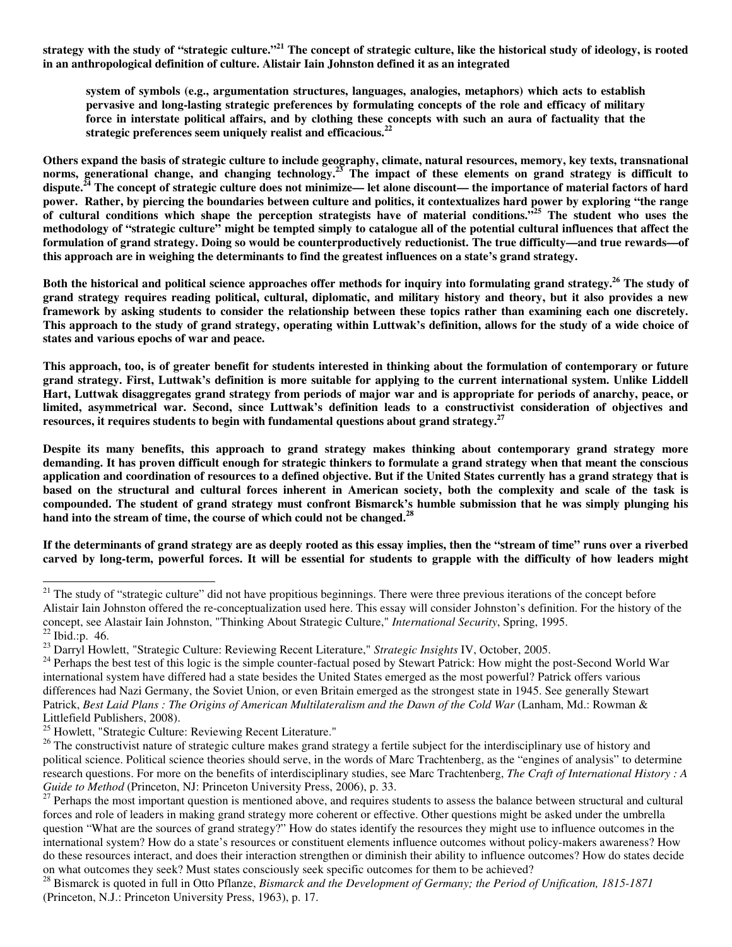strategy with the study of "strategic culture."<sup>21</sup> The concept of strategic culture, like the historical study of ideology, is rooted **in an anthropological definition of culture. Alistair Iain Johnston defined it as an integrated**

**system of symbols (e.g., argumentation structures, languages, analogies, metaphors) which acts to establish pervasive and long-lasting strategic preferences by formulating concepts of the role and efficacy of military** force in interstate political affairs, and by clothing these concepts with such an aura of factuality that the **strategic preferences seem uniquely realist and efficacious. 22**

Others expand the basis of strategic culture to include geography, climate, natural resources, memory, key texts, transnational norms, generational change, and changing technology.<sup>23</sup> The impact of these elements on grand strategy is difficult to dispute.<sup>24</sup> The concept of strategic culture does not minimize— let alone discount— the importance of material factors of hard power. Rather, by piercing the boundaries between culture and politics, it contextualizes hard power by exploring "the range of cultural conditions which shape the perception strategists have of material conditions."<sup>25</sup> The student who uses the methodology of "strategic culture" might be tempted simply to catalogue all of the potential cultural influences that affect the formulation of grand strategy. Doing so would be counterproductively reductionist. The true difficulty—and true rewards—of this approach are in weighing the determinants to find the greatest influences on a state's grand strategy.

Both the historical and political science approaches offer methods for inquiry into formulating grand strategy.<sup>26</sup> The study of grand strategy requires reading political, cultural, diplomatic, and military history and theory, but it also provides a new framework by asking students to consider the relationship between these topics rather than examining each one discretely. This approach to the study of grand strategy, operating within Luttwak's definition, allows for the study of a wide choice of **states and various epochs of war and peace.**

This approach, too, is of greater benefit for students interested in thinking about the formulation of contemporary or future grand strategy. First, Luttwak's definition is more suitable for applying to the current international system. Unlike Liddell Hart, Luttwak disaggregates grand strategy from periods of major war and is appropriate for periods of anarchy, peace, or **limited, asymmetrical war. Second, since Luttwak's definition leads to a constructivist consideration of objectives and resources, it requires students to begin with fundamental questions about grand strategy. 27**

**Despite its many benefits, this approach to grand strategy makes thinking about contemporary grand strategy more** demanding. It has proven difficult enough for strategic thinkers to formulate a grand strategy when that meant the conscious application and coordination of resources to a defined objective. But if the United States currently has a grand strategy that is based on the structural and cultural forces inherent in American society, both the complexity and scale of the task is compounded. The student of grand strategy must confront Bismarck's humble submission that he was simply plunging his **hand into the stream of time, the course of which could not be changed. 28**

If the determinants of grand strategy are as deeply rooted as this essay implies, then the "stream of time" runs over a riverbed carved by long-term, powerful forces. It will be essential for students to grapple with the difficulty of how leaders might

 $21$  The study of "strategic culture" did not have propitious beginnings. There were three previous iterations of the concept before Alistair Iain Johnston offered the re-conceptualization used here. This essay will consider Johnston's definition. For the history of the concept, see Alastair Iain Johnston, "Thinking About Strategic Culture," *International Security*, Spring, 1995.  $^{22}$  Ibid.:p. 46.

<sup>23</sup> Darryl Howlett, "Strategic Culture: Reviewing Recent Literature," *Strategic Insights* IV, October, 2005.

<sup>&</sup>lt;sup>24</sup> Perhaps the best test of this logic is the simple counter-factual posed by Stewart Patrick: How might the post-Second World War international system have differed had a state besides the United States emerged as the most powerful? Patrick offers various differences had Nazi Germany, the Soviet Union, or even Britain emerged as the strongest state in 1945. See generally Stewart Patrick, Best Laid Plans: The Origins of American Multilateralism and the Dawn of the Cold War (Lanham, Md.: Rowman & Littlefield Publishers, 2008).

<sup>&</sup>lt;sup>25</sup> Howlett, "Strategic Culture: Reviewing Recent Literature."

<sup>&</sup>lt;sup>26</sup> The constructivist nature of strategic culture makes grand strategy a fertile subject for the interdisciplinary use of history and political science. Political science theories should serve, in the words of Marc Trachtenberg, as the "engines of analysis" to determine research questions. For more on the benefits of interdisciplinary studies, see Marc Trachtenberg, *The Craft of International History : A Guide to Method* (Princeton, NJ: Princeton University Press, 2006), p. 33.

<sup>&</sup>lt;sup>27</sup> Perhaps the most important question is mentioned above, and requires students to assess the balance between structural and cultural forces and role of leaders in making grand strategy more coherent or effective. Other questions might be asked under the umbrella question "What are the sources of grand strategy?" How do states identify the resources they might use to influence outcomes in the international system? How do a state's resources or constituent elements influence outcomes without policy-makers awareness? How do these resources interact, and does their interaction strengthen or diminish their ability to influence outcomes? How do states decide on what outcomes they seek? Must states consciously seek specific outcomes for them to be achieved?

<sup>28</sup> Bismarck is quoted in full in Otto Pflanze, *Bismarck and the Development of Germany; the Period of Unification, 1815-1871* (Princeton, N.J.: Princeton University Press, 1963), p. 17.